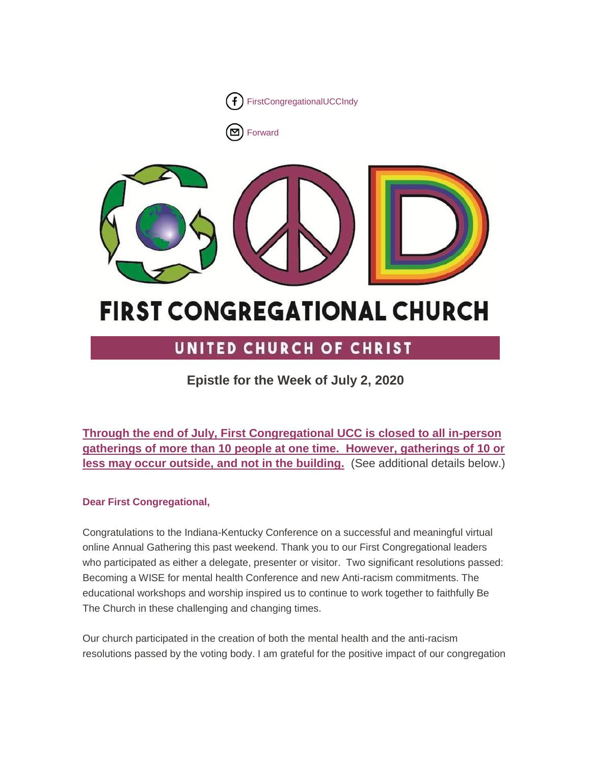

[Forward](http://us16.forward-to-friend.com/forward?u=7a2e4c501545b6d78729a64a1&id=0d87ecfc06&e=%5bUNIQID%5d)



# **FIRST CONGREGATIONAL CHURCH**

# UNITED CHURCH OF CHRIST

# **Epistle for the Week of July 2, 2020**

**Through the end of July, First Congregational UCC is closed to all in-person gatherings of more than 10 people at one time. However, gatherings of 10 or less may occur outside, and not in the building.** (See additional details below.)

# **Dear First Congregational,**

Congratulations to the Indiana-Kentucky Conference on a successful and meaningful virtual online Annual Gathering this past weekend. Thank you to our First Congregational leaders who participated as either a delegate, presenter or visitor. Two significant resolutions passed: Becoming a WISE for mental health Conference and new Anti-racism commitments. The educational workshops and worship inspired us to continue to work together to faithfully Be The Church in these challenging and changing times.

Our church participated in the creation of both the mental health and the anti-racism resolutions passed by the voting body. I am grateful for the positive impact of our congregation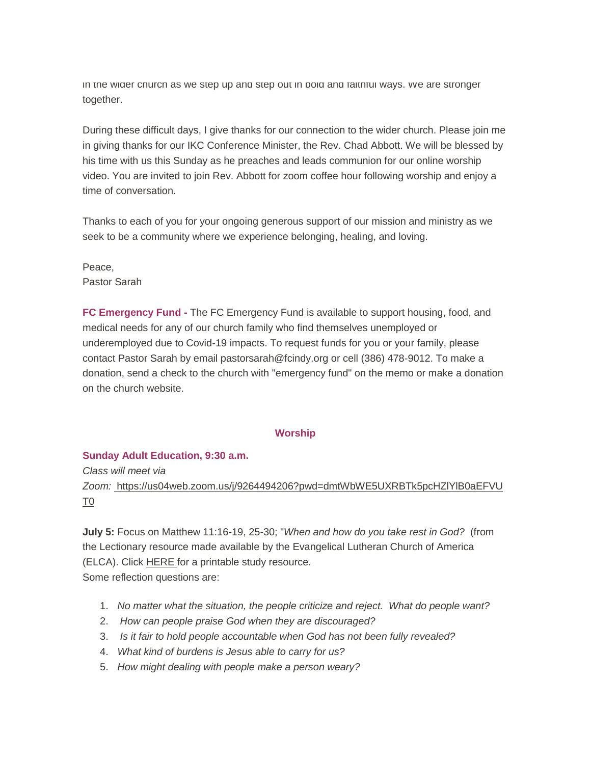in the wider church as we step up and step out in bold and faithful ways. We are stronger together.

During these difficult days, I give thanks for our connection to the wider church. Please join me in giving thanks for our IKC Conference Minister, the Rev. Chad Abbott. We will be blessed by his time with us this Sunday as he preaches and leads communion for our online worship video. You are invited to join Rev. Abbott for zoom coffee hour following worship and enjoy a time of conversation.

Thanks to each of you for your ongoing generous support of our mission and ministry as we seek to be a community where we experience belonging, healing, and loving.

Peace, Pastor Sarah

**FC Emergency Fund -** The FC Emergency Fund is available to support housing, food, and medical needs for any of our church family who find themselves unemployed or underemployed due to Covid-19 impacts. To request funds for you or your family, please contact Pastor Sarah by email pastorsarah@fcindy.org or cell (386) 478-9012. To make a donation, send a check to the church with "emergency fund" on the memo or make a donation on the church website.

#### **Worship**

#### **Sunday Adult Education, 9:30 a.m.**

*Class will meet via Zoom:* [https://us04web.zoom.us/j/9264494206?pwd=dmtWbWE5UXRBTk5pcHZlYlB0aEFVU](https://us04web.zoom.us/j/9264494206?pwd=dmtWbWE5UXRBTk5pcHZlYlB0aEFVUT09) [T0](https://us04web.zoom.us/j/9264494206?pwd=dmtWbWE5UXRBTk5pcHZlYlB0aEFVUT09)

**July 5:** Focus on Matthew 11:16-19, 25-30; "*When and how do you take rest in God?* (from the Lectionary resource made available by the Evangelical Lutheran Church of America (ELCA). Click [HERE](https://mcusercontent.com/7a2e4c501545b6d78729a64a1/files/36a5ed1a-f23d-4fa8-b242-6466d6518fb3/Daily_Discipleship_Pentecost_Week_4_Year_A_july_5.pdf) for a printable study resource. Some reflection questions are:

- 1. *No matter what the situation, the people criticize and reject. What do people want?*
- 2. *How can people praise God when they are discouraged?*
- 3. *Is it fair to hold people accountable when God has not been fully revealed?*
- 4. *What kind of burdens is Jesus able to carry for us?*
- 5. *How might dealing with people make a person weary?*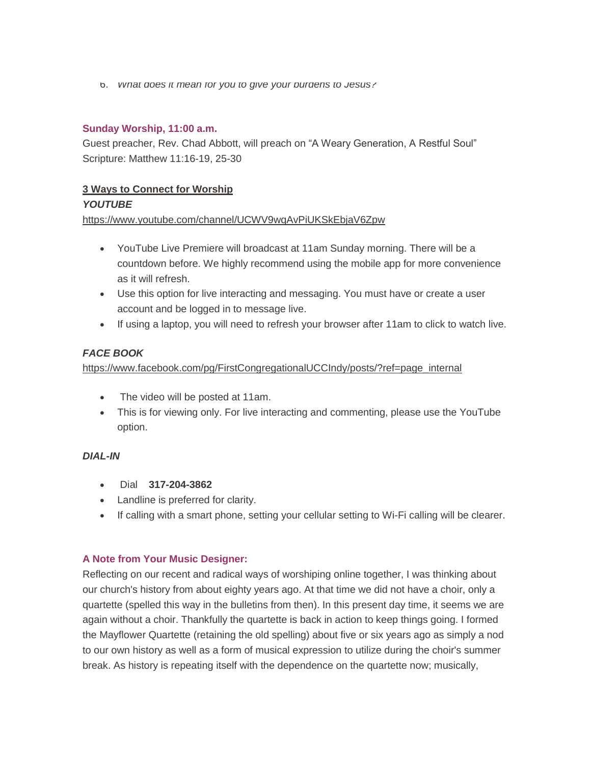6. *What does it mean for you to give your burdens to Jesus?*

# **Sunday Worship, 11:00 a.m.**

Guest preacher, Rev. Chad Abbott, will preach on "A Weary Generation, A Restful Soul" Scripture: Matthew 11:16-19, 25-30

# **3 Ways to Connect for Worship**

# *YOUTUBE*

<https://www.youtube.com/channel/UCWV9wqAvPiUKSkEbjaV6Zpw>

- YouTube Live Premiere will broadcast at 11am Sunday morning. There will be a countdown before. We highly recommend using the mobile app for more convenience as it will refresh.
- Use this option for live interacting and messaging. You must have or create a user account and be logged in to message live.
- If using a laptop, you will need to refresh your browser after 11am to click to watch live.

# *FACE BOOK*

[https://www.facebook.com/pg/FirstCongregationalUCCIndy/posts/?ref=page\\_internal](https://www.facebook.com/pg/FirstCongregationalUCCIndy/posts/?ref=page_internal)

- The video will be posted at 11am.
- This is for viewing only. For live interacting and commenting, please use the YouTube option.

# *DIAL-IN*

- Dial **317-204-3862**
- Landline is preferred for clarity.
- If calling with a smart phone, setting your cellular setting to Wi-Fi calling will be clearer.

# **A Note from Your Music Designer:**

Reflecting on our recent and radical ways of worshiping online together, I was thinking about our church's history from about eighty years ago. At that time we did not have a choir, only a quartette (spelled this way in the bulletins from then). In this present day time, it seems we are again without a choir. Thankfully the quartette is back in action to keep things going. I formed the Mayflower Quartette (retaining the old spelling) about five or six years ago as simply a nod to our own history as well as a form of musical expression to utilize during the choir's summer break. As history is repeating itself with the dependence on the quartette now; musically,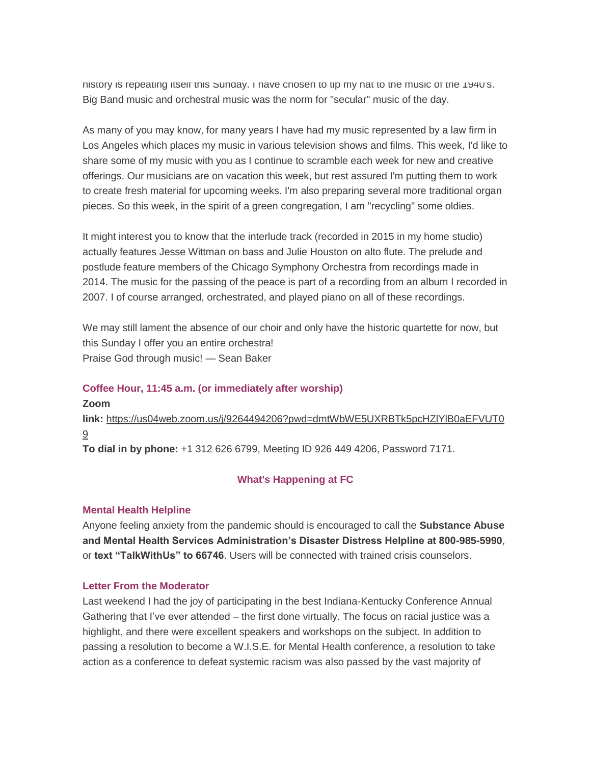history is repeating itself this Sunday. I have chosen to tip my hat to the music of the 1940's. Big Band music and orchestral music was the norm for "secular" music of the day.

As many of you may know, for many years I have had my music represented by a law firm in Los Angeles which places my music in various television shows and films. This week, I'd like to share some of my music with you as I continue to scramble each week for new and creative offerings. Our musicians are on vacation this week, but rest assured I'm putting them to work to create fresh material for upcoming weeks. I'm also preparing several more traditional organ pieces. So this week, in the spirit of a green congregation, I am "recycling" some oldies.

It might interest you to know that the interlude track (recorded in 2015 in my home studio) actually features Jesse Wittman on bass and Julie Houston on alto flute. The prelude and postlude feature members of the Chicago Symphony Orchestra from recordings made in 2014. The music for the passing of the peace is part of a recording from an album I recorded in 2007. I of course arranged, orchestrated, and played piano on all of these recordings.

We may still lament the absence of our choir and only have the historic quartette for now, but this Sunday I offer you an entire orchestra! Praise God through music! — Sean Baker

#### **Coffee Hour, 11:45 a.m. (or immediately after worship)**

**Zoom link:** [https://us04web.zoom.us/j/9264494206?pwd=dmtWbWE5UXRBTk5pcHZlYlB0aEFVUT0](https://us04web.zoom.us/j/9264494206?pwd=dmtWbWE5UXRBTk5pcHZlYlB0aEFVUT09) [9](https://us04web.zoom.us/j/9264494206?pwd=dmtWbWE5UXRBTk5pcHZlYlB0aEFVUT09) **To dial in by phone:** +1 312 626 6799, Meeting ID 926 449 4206, Password 7171.

#### **What's Happening at FC**

#### **Mental Health Helpline**

Anyone feeling anxiety from the pandemic should is encouraged to call the **Substance Abuse and Mental Health Services Administration's Disaster Distress Helpline at 800-985-5990**, or **text "TalkWithUs" to 66746**. Users will be connected with trained crisis counselors.

#### **Letter From the Moderator**

Last weekend I had the joy of participating in the best Indiana-Kentucky Conference Annual Gathering that I've ever attended – the first done virtually. The focus on racial justice was a highlight, and there were excellent speakers and workshops on the subject. In addition to passing a resolution to become a W.I.S.E. for Mental Health conference, a resolution to take action as a conference to defeat systemic racism was also passed by the vast majority of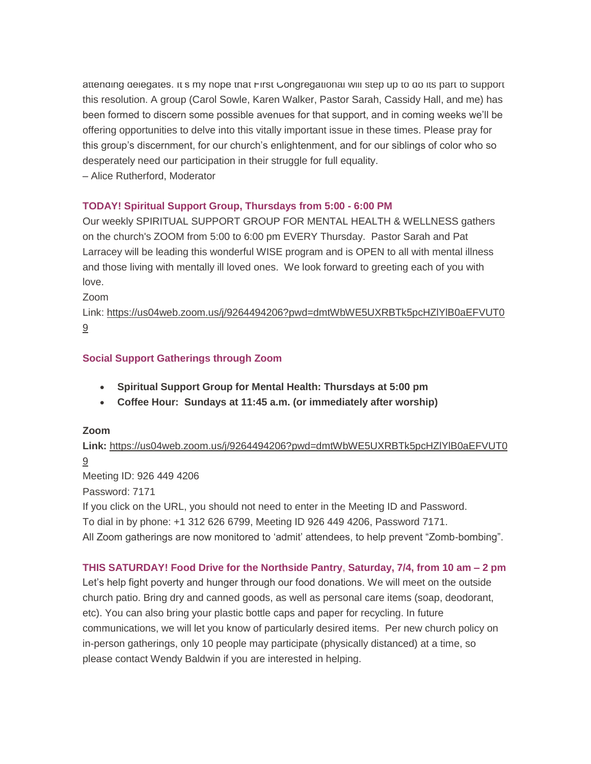attending delegates. It's my hope that First Congregational will step up to do its part to support this resolution. A group (Carol Sowle, Karen Walker, Pastor Sarah, Cassidy Hall, and me) has been formed to discern some possible avenues for that support, and in coming weeks we'll be offering opportunities to delve into this vitally important issue in these times. Please pray for this group's discernment, for our church's enlightenment, and for our siblings of color who so desperately need our participation in their struggle for full equality.

– Alice Rutherford, Moderator

# **TODAY! Spiritual Support Group, Thursdays from 5:00 - 6:00 PM**

Our weekly SPIRITUAL SUPPORT GROUP FOR MENTAL HEALTH & WELLNESS gathers on the church's ZOOM from 5:00 to 6:00 pm EVERY Thursday. Pastor Sarah and Pat Larracey will be leading this wonderful WISE program and is OPEN to all with mental illness and those living with mentally ill loved ones. We look forward to greeting each of you with love.

Zoom

Link: [https://us04web.zoom.us/j/9264494206?pwd=dmtWbWE5UXRBTk5pcHZlYlB0aEFVUT0](https://us04web.zoom.us/j/9264494206?pwd=dmtWbWE5UXRBTk5pcHZlYlB0aEFVUT09) [9](https://us04web.zoom.us/j/9264494206?pwd=dmtWbWE5UXRBTk5pcHZlYlB0aEFVUT09)

# **Social Support Gatherings through Zoom**

- **Spiritual Support Group for Mental Health: Thursdays at 5:00 pm**
- **Coffee Hour: Sundays at 11:45 a.m. (or immediately after worship)**

# **Zoom**

**Link:** [https://us04web.zoom.us/j/9264494206?pwd=dmtWbWE5UXRBTk5pcHZlYlB0aEFVUT0](https://us04web.zoom.us/j/9264494206?pwd=dmtWbWE5UXRBTk5pcHZlYlB0aEFVUT09) [9](https://us04web.zoom.us/j/9264494206?pwd=dmtWbWE5UXRBTk5pcHZlYlB0aEFVUT09)

Meeting ID: 926 449 4206

Password: 7171

If you click on the URL, you should not need to enter in the Meeting ID and Password.

To dial in by phone: +1 312 626 6799, Meeting ID 926 449 4206, Password 7171.

All Zoom gatherings are now monitored to 'admit' attendees, to help prevent "Zomb-bombing".

# **THIS SATURDAY! Food Drive for the Northside Pantry**, **Saturday, 7/4, from 10 am – 2 pm**

Let's help fight poverty and hunger through our food donations. We will meet on the outside church patio. Bring dry and canned goods, as well as personal care items (soap, deodorant, etc). You can also bring your plastic bottle caps and paper for recycling. In future communications, we will let you know of particularly desired items. Per new church policy on in-person gatherings, only 10 people may participate (physically distanced) at a time, so please contact Wendy Baldwin if you are interested in helping.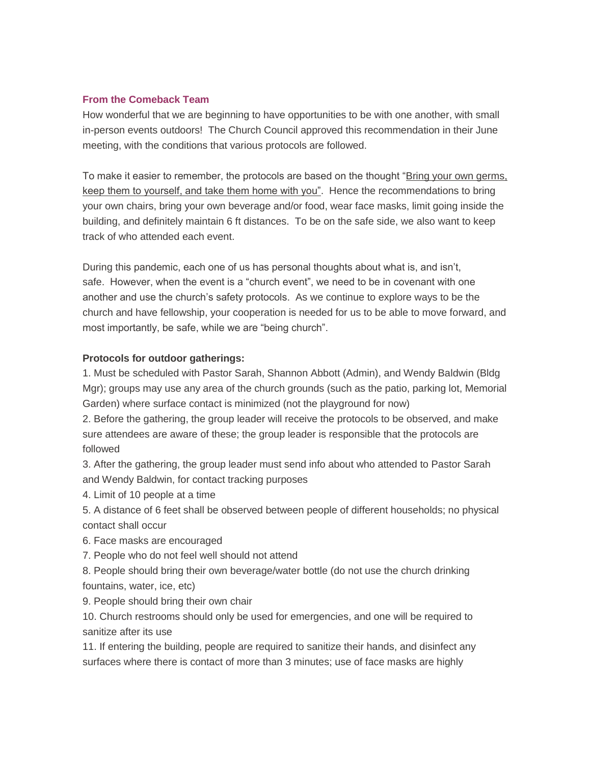#### **From the Comeback Team**

How wonderful that we are beginning to have opportunities to be with one another, with small in-person events outdoors! The Church Council approved this recommendation in their June meeting, with the conditions that various protocols are followed.

To make it easier to remember, the protocols are based on the thought "Bring your own germs, keep them to yourself, and take them home with you". Hence the recommendations to bring your own chairs, bring your own beverage and/or food, wear face masks, limit going inside the building, and definitely maintain 6 ft distances. To be on the safe side, we also want to keep track of who attended each event.

During this pandemic, each one of us has personal thoughts about what is, and isn't, safe. However, when the event is a "church event", we need to be in covenant with one another and use the church's safety protocols. As we continue to explore ways to be the church and have fellowship, your cooperation is needed for us to be able to move forward, and most importantly, be safe, while we are "being church".

#### **Protocols for outdoor gatherings:**

1. Must be scheduled with Pastor Sarah, Shannon Abbott (Admin), and Wendy Baldwin (Bldg Mgr); groups may use any area of the church grounds (such as the patio, parking lot, Memorial Garden) where surface contact is minimized (not the playground for now)

2. Before the gathering, the group leader will receive the protocols to be observed, and make sure attendees are aware of these; the group leader is responsible that the protocols are followed

3. After the gathering, the group leader must send info about who attended to Pastor Sarah and Wendy Baldwin, for contact tracking purposes

4. Limit of 10 people at a time

5. A distance of 6 feet shall be observed between people of different households; no physical contact shall occur

6. Face masks are encouraged

7. People who do not feel well should not attend

8. People should bring their own beverage/water bottle (do not use the church drinking fountains, water, ice, etc)

9. People should bring their own chair

10. Church restrooms should only be used for emergencies, and one will be required to sanitize after its use

11. If entering the building, people are required to sanitize their hands, and disinfect any surfaces where there is contact of more than 3 minutes; use of face masks are highly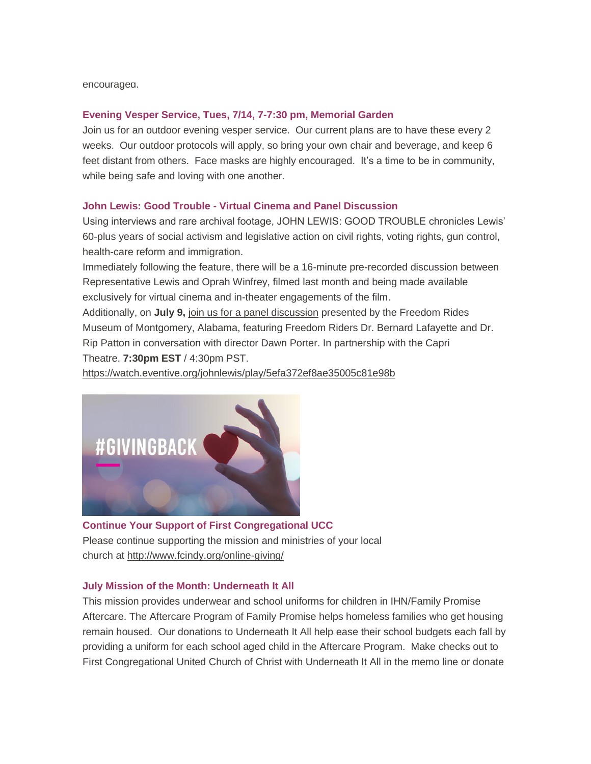#### encouraged.

#### **Evening Vesper Service, Tues, 7/14, 7-7:30 pm, Memorial Garden**

Join us for an outdoor evening vesper service. Our current plans are to have these every 2 weeks. Our outdoor protocols will apply, so bring your own chair and beverage, and keep 6 feet distant from others. Face masks are highly encouraged. It's a time to be in community, while being safe and loving with one another.

#### **John Lewis: Good Trouble - Virtual Cinema and Panel Discussion**

Using interviews and rare archival footage, JOHN LEWIS: GOOD TROUBLE chronicles Lewis' 60-plus years of social activism and legislative action on civil rights, voting rights, gun control, health-care reform and immigration.

Immediately following the feature, there will be a 16-minute pre-recorded discussion between Representative Lewis and Oprah Winfrey, filmed last month and being made available exclusively for virtual cinema and in-theater engagements of the film.

Additionally, on **July 9,** [join us for a panel discussion](https://watch.eventive.org/johnlewis/play/5ef393084a69410069af5fb8) presented by the Freedom Rides Museum of Montgomery, Alabama, featuring Freedom Riders Dr. Bernard Lafayette and Dr. Rip Patton in conversation with director Dawn Porter. In partnership with the Capri Theatre. **7:30pm EST** / 4:30pm PST.

<https://watch.eventive.org/johnlewis/play/5efa372ef8ae35005c81e98b>



**Continue Your Support of First Congregational UCC** Please continue supporting the mission and ministries of your local church at <http://www.fcindy.org/online-giving/>

#### **July Mission of the Month: Underneath It All**

This mission provides underwear and school uniforms for children in IHN/Family Promise Aftercare. The Aftercare Program of Family Promise helps homeless families who get housing remain housed. Our donations to Underneath It All help ease their school budgets each fall by providing a uniform for each school aged child in the Aftercare Program. Make checks out to First Congregational United Church of Christ with Underneath It All in the memo line or donate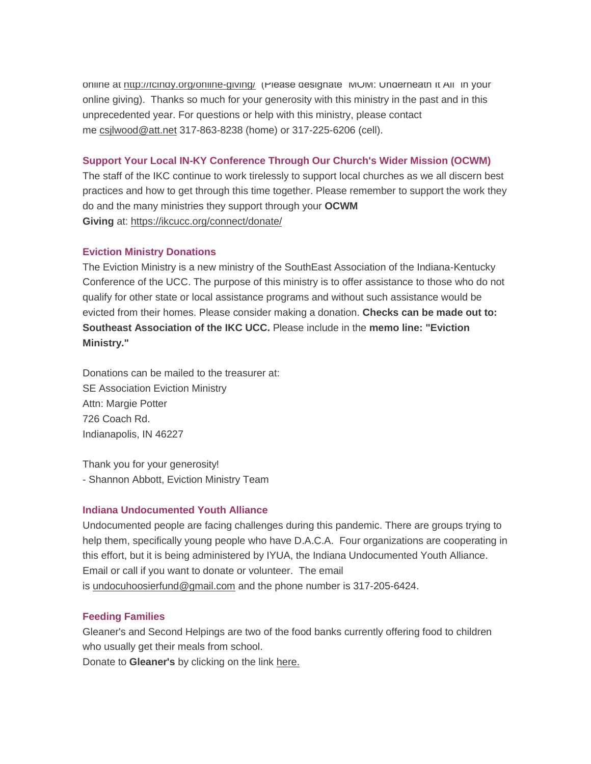online at <http://fcindy.org/online-giving/> (Please designate "MOM: Underneath It All" in your online giving). Thanks so much for your generosity with this ministry in the past and in this unprecedented year. For questions or help with this ministry, please contact me [csjlwood@att.net](mailto:csjlwood@att.net) 317-863-8238 (home) or 317-225-6206 (cell).

#### **Support Your Local IN-KY Conference Through Our Church's Wider Mission (OCWM)**

The staff of the IKC continue to work tirelessly to support local churches as we all discern best practices and how to get through this time together. Please remember to support the work they do and the many ministries they support through your **OCWM Giving** at: <https://ikcucc.org/connect/donate/>

#### **Eviction Ministry Donations**

The Eviction Ministry is a new ministry of the SouthEast Association of the Indiana-Kentucky Conference of the UCC. The purpose of this ministry is to offer assistance to those who do not qualify for other state or local assistance programs and without such assistance would be evicted from their homes. Please consider making a donation. **Checks can be made out to: Southeast Association of the IKC UCC.** Please include in the **memo line: "Eviction Ministry."**

Donations can be mailed to the treasurer at: SE Association Eviction Ministry Attn: Margie Potter 726 Coach Rd. Indianapolis, IN 46227

Thank you for your generosity! - Shannon Abbott, Eviction Ministry Team

#### **Indiana Undocumented Youth Alliance**

Undocumented people are facing challenges during this pandemic. There are groups trying to help them, specifically young people who have D.A.C.A. Four organizations are cooperating in this effort, but it is being administered by IYUA, the Indiana Undocumented Youth Alliance. Email or call if you want to donate or volunteer. The email is [undocuhoosierfund@gmail.com](mailto:undocuhoosierfund@gmail.com) and the phone number is 317-205-6424.

# **Feeding Families**

Gleaner's and Second Helpings are two of the food banks currently offering food to children who usually get their meals from school.

Donate to **Gleaner's** by clicking on the link [here.](https://secure2.convio.net/gfbin/site/Donation2;jsessionid=00000000.app20103b?idb=1780702133&1400.donation=form1&df_id=1400&mfc_pref=T&NONCE_TOKEN=3DB920EF697D2AE560C6EA7CBDF90EF8&idb=0)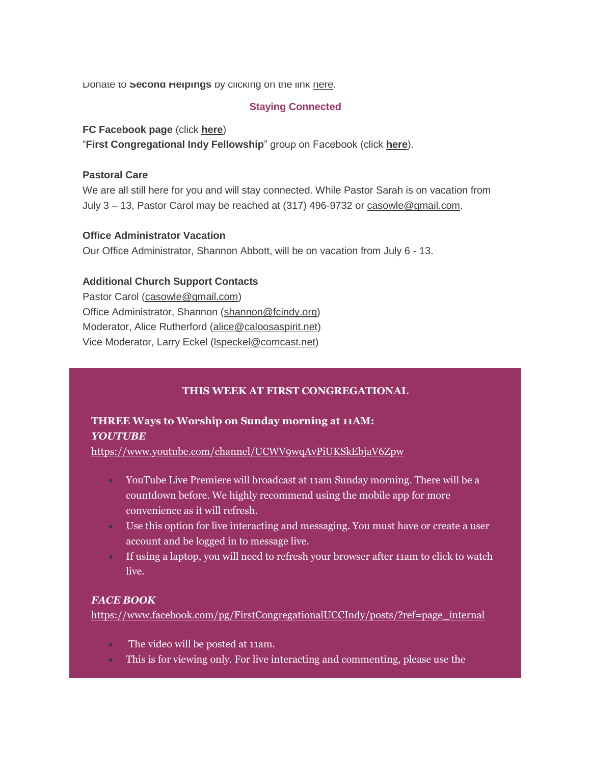Donate to **Second Helpings** by clicking on the link [here.](https://www.secondhelpings.org/donate/)

#### **Staying Connected**

#### **FC Facebook page** (click **[here](https://www.facebook.com/FirstCongregationalUCCIndy/)**)

"**First Congregational Indy Fellowship**" group on Facebook (click **[here](https://www.facebook.com/groups/521333455186422/)**).

#### **Pastoral Care**

We are all still here for you and will stay connected. While Pastor Sarah is on vacation from July 3 – 13, Pastor Carol may be reached at (317) 496-9732 or [casowle@gmail.com.](mailto:casowle@gmail.com)

#### **Office Administrator Vacation**

Our Office Administrator, Shannon Abbott, will be on vacation from July 6 - 13.

#### **Additional Church Support Contacts**

Pastor Carol [\(casowle@gmail.com\)](mailto:casowle@gmail.com) Office Administrator, Shannon [\(shannon@fcindy.org\)](mailto:shannon@fcindy.org) Moderator, Alice Rutherford [\(alice@caloosaspirit.net\)](mailto:alice@caloosaspirit.net) Vice Moderator, Larry Eckel (Ispeckel@comcast.net)

# **THIS WEEK AT FIRST CONGREGATIONAL**

# **THREE Ways to Worship on Sunday morning at 11AM:** *YOUTUBE*

<https://www.youtube.com/channel/UCWV9wqAvPiUKSkEbjaV6Zpw>

- YouTube Live Premiere will broadcast at 11am Sunday morning. There will be a countdown before. We highly recommend using the mobile app for more convenience as it will refresh.
- Use this option for live interacting and messaging. You must have or create a user account and be logged in to message live.
- If using a laptop, you will need to refresh your browser after 11am to click to watch live.

#### *FACE BOOK*

[https://www.facebook.com/pg/FirstCongregationalUCCIndy/posts/?ref=page\\_internal](https://www.facebook.com/pg/FirstCongregationalUCCIndy/posts/?ref=page_internal)

- The video will be posted at 11am.
- This is for viewing only. For live interacting and commenting, please use the